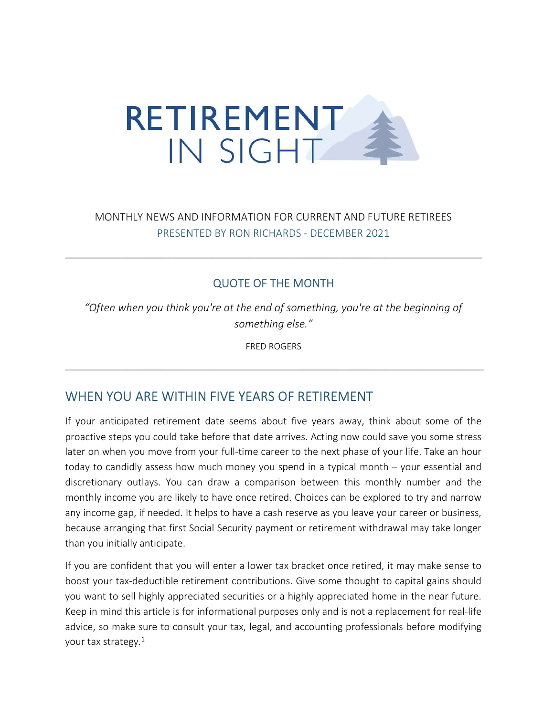

## MONTHLY NEWS AND INFORMATION FOR CURRENT AND FUTURE RETIREES PRESENTED BY RON RICHARDS - DECEMBER 2021

#### QUOTE OF THE MONTH

"Often when you think you're at the end of something, you're at the beginning of something else."

FRED ROGERS

# WHEN YOU ARE WITHIN FIVE YEARS OF RETIREMENT

If your anticipated retirement date seems about five years away, think about some of the proactive steps you could take before that date arrives. Acting now could save you some stress later on when you move from your full-time career to the next phase of your life. Take an hour today to candidly assess how much money you spend in a typical month – your essential and discretionary outlays. You can draw a comparison between this monthly number and the monthly income you are likely to have once retired. Choices can be explored to try and narrow any income gap, if needed. It helps to have a cash reserve as you leave your career or business, because arranging that first Social Security payment or retirement withdrawal may take longer than you initially anticipate.

If you are confident that you will enter a lower tax bracket once retired, it may make sense to boost your tax-deductible retirement contributions. Give some thought to capital gains should you want to sell highly appreciated securities or a highly appreciated home in the near future. Keep in mind this article is for informational purposes only and is not a replacement for real-life advice, so make sure to consult your tax, legal, and accounting professionals before modifying your tax strategy. $1$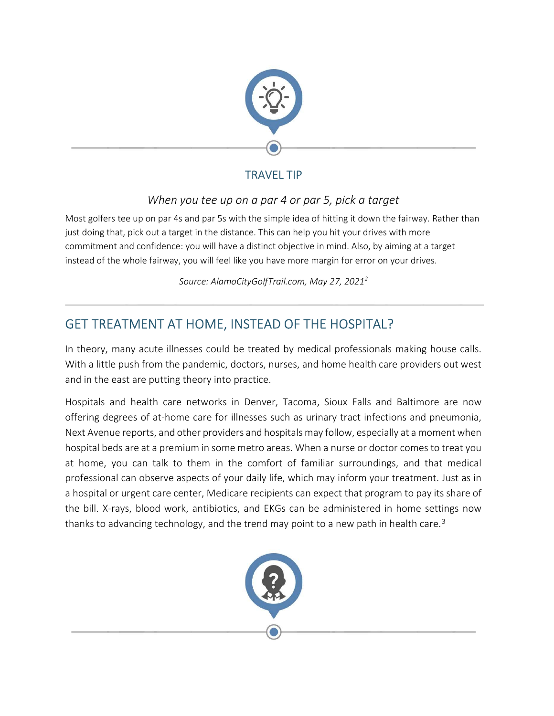

# TRAVEL TIP

## When you tee up on a par 4 or par 5, pick a target

Most golfers tee up on par 4s and par 5s with the simple idea of hitting it down the fairway. Rather than just doing that, pick out a target in the distance. This can help you hit your drives with more commitment and confidence: you will have a distinct objective in mind. Also, by aiming at a target instead of the whole fairway, you will feel like you have more margin for error on your drives.

Source: AlamoCityGolfTrail.com, May 27, 2021<sup>2</sup>

# GET TREATMENT AT HOME, INSTEAD OF THE HOSPITAL?

In theory, many acute illnesses could be treated by medical professionals making house calls. With a little push from the pandemic, doctors, nurses, and home health care providers out west and in the east are putting theory into practice.

Hospitals and health care networks in Denver, Tacoma, Sioux Falls and Baltimore are now offering degrees of at-home care for illnesses such as urinary tract infections and pneumonia, Next Avenue reports, and other providers and hospitals may follow, especially at a moment when hospital beds are at a premium in some metro areas. When a nurse or doctor comes to treat you at home, you can talk to them in the comfort of familiar surroundings, and that medical professional can observe aspects of your daily life, which may inform your treatment. Just as in a hospital or urgent care center, Medicare recipients can expect that program to pay its share of the bill. X-rays, blood work, antibiotics, and EKGs can be administered in home settings now thanks to advancing technology, and the trend may point to a new path in health care.<sup>3</sup>

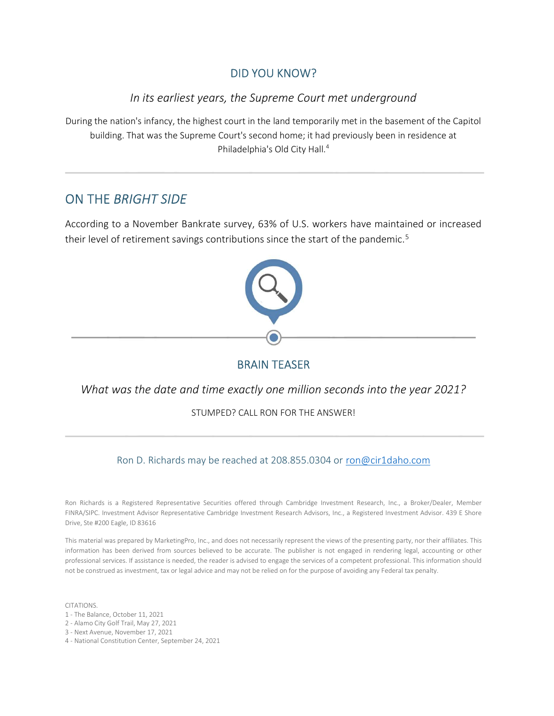#### DID YOU KNOW?

#### In its earliest years, the Supreme Court met underground

During the nation's infancy, the highest court in the land temporarily met in the basement of the Capitol building. That was the Supreme Court's second home; it had previously been in residence at Philadelphia's Old City Hall.<sup>4</sup>

## ON THE BRIGHT SIDE

According to a November Bankrate survey, 63% of U.S. workers have maintained or increased their level of retirement savings contributions since the start of the pandemic.<sup>5</sup>



#### BRAIN TEASER

#### What was the date and time exactly one million seconds into the year 2021?

STUMPED? CALL RON FOR THE ANSWER!

Ron D. Richards may be reached at 208.855.0304 or ron@cir1daho.com

Ron Richards is a Registered Representative Securities offered through Cambridge Investment Research, Inc., a Broker/Dealer, Member FINRA/SIPC. Investment Advisor Representative Cambridge Investment Research Advisors, Inc., a Registered Investment Advisor. 439 E Shore Drive, Ste #200 Eagle, ID 83616

This material was prepared by MarketingPro, Inc., and does not necessarily represent the views of the presenting party, nor their affiliates. This information has been derived from sources believed to be accurate. The publisher is not engaged in rendering legal, accounting or other professional services. If assistance is needed, the reader is advised to engage the services of a competent professional. This information should not be construed as investment, tax or legal advice and may not be relied on for the purpose of avoiding any Federal tax penalty.

CITATIONS.

- 1 The Balance, October 11, 2021
- 2 Alamo City Golf Trail, May 27, 2021
- 3 Next Avenue, November 17, 2021
- 4 National Constitution Center, September 24, 2021